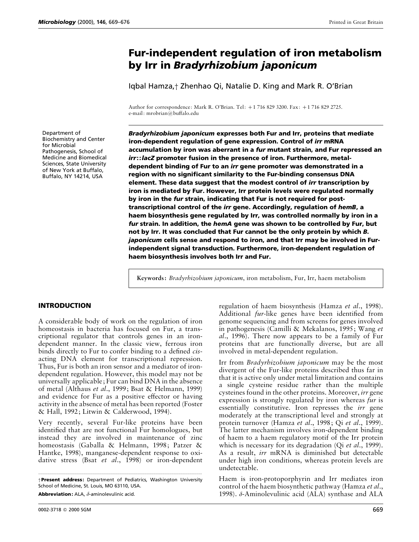# **Fur-independent regulation of iron metabolism by Irr in** *Bradyrhizobium japonicum*

Iqbal Hamza,† Zhenhao Qi, Natalie D. King and Mark R. O'Brian

Author for correspondence: Mark R. O'Brian. Tel: +1 716 829 3200. Fax: +1 716 829 2725. e-mail: mrobrian@buffalo.edu

Department of Biochemistry and Center for Microbial Pathogenesis, School of Medicine and Biomedical Sciences, State University of New York at Buffalo, Buffalo, NY 14214, USA

*Bradyrhizobium japonicum* **expresses both Fur and Irr, proteins that mediate iron-dependent regulation of gene expression. Control of** *irr* **mRNA accumulation by iron was aberrant in a** *fur* **mutant strain, and Fur repressed an** *irr***::***lacZ* **promoter fusion in the presence of iron. Furthermore, metaldependent binding of Fur to an** *irr* **gene promoter was demonstrated in a region with no significant similarity to the Fur-binding consensus DNA element. These data suggest that the modest control of** *irr* **transcription by iron is mediated by Fur. However, Irr protein levels were regulated normally by iron in the** *fur* **strain, indicating that Fur is not required for posttranscriptional control of the** *irr* **gene. Accordingly, regulation of** *hemB***, a haem biosynthesis gene regulated by Irr, was controlled normally by iron in a** *fur* **strain. In addition, the** *hemA* **gene was shown to be controlled by Fur, but not by Irr. It was concluded that Fur cannot be the only protein by which** *B. japonicum* **cells sense and respond to iron, and that Irr may be involved in Furindependent signal transduction. Furthermore, iron-dependent regulation of haem biosynthesis involves both Irr and Fur.**

**Keywords:** *Bradyrhizobium japonicum*, iron metabolism, Fur, Irr, haem metabolism

## **INTRODUCTION**

A considerable body of work on the regulation of iron homeostasis in bacteria has focused on Fur, a transcriptional regulator that controls genes in an irondependent manner. In the classic view, ferrous iron binds directly to Fur to confer binding to a defined *cis*acting DNA element for transcriptional repression. Thus, Fur is both an iron sensor and a mediator of irondependent regulation. However, this model may not be universally applicable; Fur can bind DNA in the absence of metal (Althaus *et al*., 1999; Bsat & Helmann, 1999) and evidence for Fur as a positive effector or having activity in the absence of metal has been reported (Foster & Hall, 1992; Litwin & Calderwood, 1994).

Very recently, several Fur-like proteins have been identified that are not functional Fur homologues, but instead they are involved in maintenance of zinc homeostasis (Gaballa & Helmann, 1998; Patzer & Hantke, 1998), manganese-dependent response to oxidative stress (Bsat *et al*., 1998) or iron-dependent

................................................................................................................................................. † **Present address:** Department of Pediatrics, Washington University School of Medicine, St. Louis, MO 63110, USA.

**Abbreviation:** ALA, δ-aminolevulinic acid.

regulation of haem biosynthesis (Hamza *et al*., 1998). Additional *fur*-like genes have been identified from genome sequencing and from screens for genes involved in pathogenesis (Camilli & Mekalanos, 1995; Wang *et al*., 1996). There now appears to be a family of Fur proteins that are functionally diverse, but are all involved in metal-dependent regulation.

Irr from *Bradyrhizobium japonicum* may be the most divergent of the Fur-like proteins described thus far in that it is active only under metal limitation and contains a single cysteine residue rather than the multiple cysteines found in the other proteins. Moreover, *irr* gene expression is strongly regulated by iron whereas *fur* is essentially constitutive. Iron represses the *irr* gene moderately at the transcriptional level and strongly at protein turnover (Hamza *et al*., 1998; Qi *et al*., 1999). The latter mechanism involves iron-dependent binding of haem to a haem regulatory motif of the Irr protein which is necessary for its degradation (Qi *et al*., 1999). As a result, *irr* mRNA is diminished but detectable under high iron conditions, whereas protein levels are undetectable.

Haem is iron-protoporphyrin and Irr mediates iron control of the haem biosynthetic pathway (Hamza *et al*., 1998). δ-Aminolevulinic acid (ALA) synthase and ALA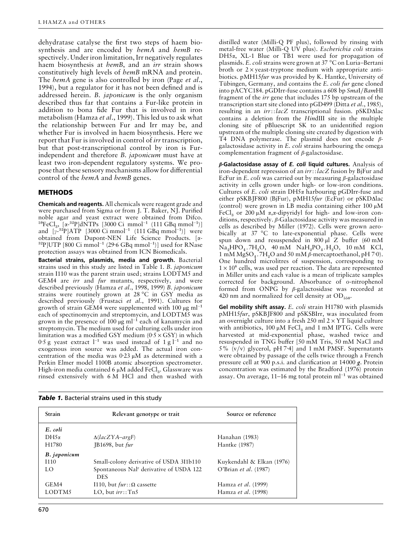dehydratase catalyse the first two steps of haem biosynthesis and are encoded by *hemA* and *hemB* respectively. Under iron limitation, Irr negatively regulates haem biosynthesis at *hemB*, and an *irr* strain shows constitutively high levels of *hemB* mRNA and protein. The *hemA* gene is also controlled by iron (Page *et al*., 1994), but a regulator for it has not been defined and is addressed herein. *B*. *japonicum* is the only organism described thus far that contains a Fur-like protein in addition to bona fide Fur that is involved in iron metabolism (Hamza *et al*., 1999). This led us to ask what the relationship between Fur and Irr may be, and whether Fur is involved in haem biosynthesis. Here we report that Fur is involved in control of *irr* transcription, but that post-transcriptional control by iron is Furindependent and therefore *B*. *japonicum* must have at least two iron-dependent regulatory systems. We propose that these sensory mechanisms allow for differential control of the *hemA* and *hemB* genes.

# **METHODS**

**Chemicals and reagents.**All chemicals were reagent grade and were purchased from Sigma or from J. T. Baker, NJ. Purified noble agar and yeast extract were obtained from Difco. noble agar and yeast extract were obtained from Difco.<br><sup>59</sup>FeCl<sub>3</sub>, [α-<sup>32</sup>P]dNTPs [3000 Ci mmol<sup>−1</sup> (111 GBq mmol<sup>−1</sup>)] <sup>3</sup> FeCl<sub>3</sub>, [α-<sup>32</sup>P]dN1Ps [3000 Ci mmol<sup>-1</sup> (111 GBq mmol<sup>-1</sup>)]<br>and [γ-<sup>32</sup>P]ATP [3000 Ci mmol<sup>-1</sup> (111 GBq mmol<sup>-1</sup>)] were <sup>32</sup>P]UTP [800 Ci mmol<sup>-1</sup> (29<sup>.</sup>6 GBq mmol<sup>-1</sup>)] used for RNase protection assays was obtained from ICN Biomedicals.

**Bacterial strains, plasmids, media and growth.** Bacterial strains used in this study are listed in Table 1. *B*. *japonicum* strain I110 was the parent strain used; strains LODTM5 and GEM4 are *irr* and *fur* mutants, respectively, and were described previously (Hamza *et al*., 1998, 1999) *B*. *japonicum* strains were routinely grown at 28 °C in GSY media as described previously (Frustaci *et al*., 1991). Cultures for growth of strain GEM4 were supplemented with 100  $\mu$ g ml<sup>-1</sup> each of spectinomycin and streptomycin, and LODTM5 was grown in the presence of 100 µg ml<sup>-1</sup> each of kanamycin and streptomycin. The medium used for culturing cells under iron limitation was a modified GSY medium ( $0.5 \times$  GSY) in which 0.5 g yeast extract l<sup>−1</sup> was used instead of 1 g l<sup>−1</sup> and no exogenous iron source was added. The actual iron concentration of the media was  $0.23 \mu M$  as determined with a Perkin Elmer model 1100B atomic absorption spectrometer. High-iron media contained 6 µM added Fe $\mathrm{Cl}_3$ . Glassware was rinsed extensively with 6 M HCl and then washed with

distilled water (Milli-Q PF plus), followed by rinsing with metal-free water (Milli-Q UV plus). *Escherichia coli* strains DH5α, XL-1 Blue or TB1 were used for propagation of plasmids. *E*. *coli* strains were grown at 37 °C on Luria–Bertani broth or  $2 \times$  yeast-tryptone medium with appropriate antibiotics. pMH15*fur* was provided by K. Hantke, University of Tübingen, Germany, and contains the *E. coli fur* gene cloned into pACYC184. pGDIrr-fuse contains a 608 bp *Sma*I}*Bam*HI fragment of the *irr* gene that includes 175 bp upstream of the transcription start site cloned into pGD499 (Ditta *et al*., 1985), resulting in an *irr*::*lacZ* transcriptional fusion. pSKD∆lac contains a deletion from the *Hin*dIII site in the multiple cloning site of pBluescript SK to an unidentified region upstream of the multiple cloning site created by digestion with T4 DNA polymerase. The plasmid does not encode βgalactosidase activity in *E*. *coli* strains harbouring the omega complementation fragment of  $\beta$ -galactosidase.

*β***-Galactosidase assay of** *E. coli* **liquid cultures.** Analysis of iron-dependent repression of an *irr*::*lacZ* fusion by BjFur and EcFur in *E*. *coli* was carried out by measuring β-galactosidase activity in cells grown under high- or low-iron conditions. Cultures of *E*. *coli* strain DH5α harbouring pGDIrr-fuse and either pSKBJF800 (BjFur), pMH15*fur* (EcFur) or pSKD∆lac (control) were grown in LB media containing either  $100 \mu M$ FeCl<sub>3</sub> or 200  $\mu$ M *α*,*α*-dipyridyl for high- and low-iron conditions, respectively. β-Galactosidase activity was measured in cells as described by Miller (1972). Cells were grown aerobically at 37 °C to late-exponential phase. Cells were spun down and resuspended in 800 µl Z buffer (60 mM  $\rm Na<sub>2</sub>HPO<sub>4</sub>$ .7H<sub>2</sub>O, 40 mM  $\rm NaH<sub>2</sub>PO<sub>4</sub>$ .H<sub>2</sub>O, 10 mM KCl, 1 mM  $MgSO_4$ . 7H<sub>2</sub>O and 50 mM  $\beta$ -mercaptoethanol, pH 7 $\cdot$ 0). One hundred microlitres of suspension, corresponding to  $1 \times 10^8$  cells, was used per reaction. The data are represented in Miller units and each value is a mean of triplicate samples corrected for background. Absorbance of *o*-nitrophenol formed from ONPG by β-galactosidase was recorded at 420 nm and normalized for cell density at  $OD<sub>550</sub>$ .

**Gel mobility shift assay.** *E*. *coli* strain H1780 with plasmids pMH15*fur*, pSKBJF800 and pSKSBIrr, was inoculated from an overnight culture into a fresh  $250$  ml  $2 \times \text{YT}$  liquid culture with antibiotics,  $100 \mu M$  FeCl<sub>3</sub> and 1 mM IPTG. Cells were harvested at mid-exponential phase, washed twice and resuspended in TNG buffer [50 mM Tris, 50 mM NaCl and  $5\%$  (v/v) glycerol, pH 7.4] and 1 mM PMSF. Supernatants were obtained by passage of the cells twice through a French pressure cell at 900 p.s.i. and clarification at 14000 *g*. Protein concentration was estimated by the Bradford (1976) protein assay. On average, 11–16 mg total protein ml−" was obtained

| Strain            | Relevant genotype or trait                                        | Source or reference       |  |  |
|-------------------|-------------------------------------------------------------------|---------------------------|--|--|
| E. coli           |                                                                   |                           |  |  |
| $DH5\alpha$       | $\Delta (lacZYA-argF)$                                            | Hanahan (1983)            |  |  |
| H <sub>1780</sub> | JB1698, but fur                                                   | Hantke (1987)             |  |  |
| B. japonicum      |                                                                   |                           |  |  |
| I110              | Small-colony derivative of USDA 3I1b110                           | Kuykendahl & Elkan (1976) |  |  |
| LO                | Spontaneous Nal <sup>r</sup> derivative of USDA 122<br><b>DES</b> | O'Brian et al. (1987)     |  |  |
| GEM4              | I110, but $fur::Ω$ cassette                                       | Hamza et al. (1999)       |  |  |
| LODTM5            | LO, but $irr$ ::Tn5                                               | Hamza et al. (1998)       |  |  |

|  |  | Table 1. Bacterial strains used in this study |  |  |  |  |  |
|--|--|-----------------------------------------------|--|--|--|--|--|
|--|--|-----------------------------------------------|--|--|--|--|--|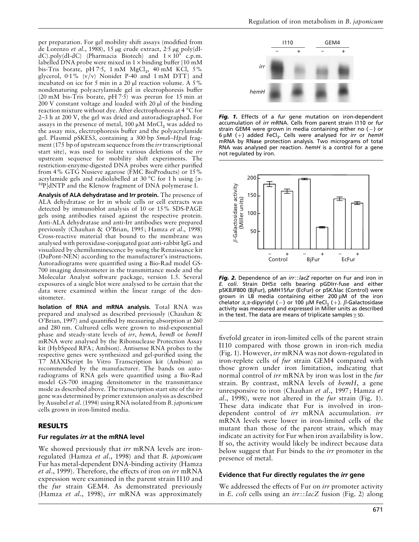per preparation. For gel mobility shift assays (modified from de Lorenzo *et al*., 1988), 15 µg crude extract, 2±5 µg poly(dIdC).poly(dI-dC) (Pharmacia Biotech) and  $1 \times 10^{5}$  c.p.m. labelled DNA probe were mixed in  $1 \times$  binding buffer [10 mM bis-Tris borate, pH 7.5, 1 mM  $MgCl<sub>2</sub>$ , 40 mM KCl, 5% glycerol, 0±1% (v}v) Nonidet P-40 and 1 mM DTT] and incubated on ice for 5 min in a 20 µl reaction volume. A 5% nondenaturing polyacrylamide gel in electrophoresis buffer (20 mM bis-Tris borate, pH  $7.5$ ) was prerun for 15 min at 200 V constant voltage and loaded with 20 µl of the binding reaction mixture without dye. After electrophoresis at 4 °C for 2–3 h at 200 V, the gel was dried and autoradiographed. For assays in the presence of metal,  $100 \mu M MnCl_2$  was added to the assay mix, electrophoresis buffer and the polyacrylamide gel. Plasmid pSKES3, containing a 300 bp *Sma*I–*Hpa*I fragment (175 bp of upstream sequence from the *irr*transcriptional start site), was used to isolate various deletions of the *irr* upstream sequence for mobility shift experiments. The restriction-enzyme-digested DNA probes were either purified from 4% GTG Nusieve agarose (FMC BioProducts) or 15% acrylamide gels and radiolabelled at 30 °C for 1 h using [ $\alpha$ -<sup>32</sup>P]dNTP and the Klenow fragment of DNA polymerase I.

**Analysis of ALA dehydratase and Irr protein.** The presence of ALA dehydratase or Irr in whole cells or cell extracts was detected by immunoblot analysis of 10 or 15% SDS-PAGE gels using antibodies raised against the respective protein. Anti-ALA dehydratase and anti-Irr antibodies were prepared previously (Chauhan & O'Brian, 1995; Hamza *et al*., 1998) Cross-reactive material that bound to the membrane was analysed with peroxidase-conjugated goat anti-rabbit IgG and visualized by chemiluminescence by using the Renaissance kit (DuPont-NEN) according to the manufacturer's instructions. Autoradiograms were quantified using a Bio-Rad model GS-700 imaging densitometer in the transmittance mode and the Molecular Analyst software package, version 1.5. Several exposures of a single blot were analysed to be certain that the data were examined within the linear range of the densitometer.

**Isolation of RNA and mRNA analysis.** Total RNA was prepared and analysed as described previously (Chauhan & O'Brian, 1997) and quantified by measuring absorption at 260 and 280 nm. Cultured cells were grown to mid-exponential phase and steady-state levels of *irr*, *hemA*, *hemB* or *hemH* mRNA were analysed by the Ribonuclease Protection Assay kit (HybSpeed RPA; Ambion). Antisense RNA probes to the respective genes were synthesized and gel-purified using the T7 MAXIScript In Vitro Transcription kit (Ambion) as recommended by the manufacturer. The bands on autoradiograms of RNA gels were quantified using a Bio-Rad model GS-700 imaging densitometer in the transmittance mode as described above. The transcription start site of the *irr* gene was determined by primer extension analysis as described by Ausubel *et al*. (1994) using RNA isolated from *B*. *japonicum* cells grown in iron-limited media.

#### **RESULTS**

#### **Fur regulates** *irr* **at the mRNA level**

We showed previously that *irr* mRNA levels are ironregulated (Hamza *et al*., 1998) and that *B*. *japonicum* Fur has metal-dependent DNA-binding activity (Hamza *et al*., 1999). Therefore, the effects of iron on *irr* mRNA expression were examined in the parent strain I110 and the *fur* strain GEM4. As demonstrated previously (Hamza *et al*., 1998), *irr* mRNA was approximately



*Fig. 1.* Effects of a *fur* gene mutation on iron-dependent accumulation of *irr* mRNA. Cells from parent strain I110 or *fur* strain GEM4 were grown in media containing either no  $(-)$  or 6 µM () added FeCl3. Cells were analysed for *irr* or *hemH* mRNA by RNase protection analysis. Two micrograms of total RNA was analysed per reaction. *hemH* is a control for a gene not regulated by iron.



*Fig. 2.* Dependence of an *irr*::*lacZ* reporter on Fur and iron in *E. coli*. Strain DH5α cells bearing pGDIrr-fuse and either pSKBJF800 (BjFur), pMH15*fur* (EcFur) or pSK∆lac (Control) were grown in LB media containing either 200 µM of the iron chelator  $\alpha$ , $\alpha$ -dipyridyl (-) or 100 µM FeCl<sub>3</sub> (+).  $\beta$ -Galactosidase activity was measured and expressed in Miller units as described in the text. The data are means of triplicate samples  $\pm$  SD.

fivefold greater in iron-limited cells of the parent strain I110 compared with those grown in iron-rich media (Fig. 1). However, *irr* mRNA was not down-regulated in iron-replete cells of *fur* strain GEM4 compared with those grown under iron limitation, indicating that normal control of *irr* mRNA by iron was lost in the *fur* strain. By contrast, mRNA levels of *hemH*, a gene unresponsive to iron (Chauhan *et al*., 1997; Hamza *et al*., 1998), were not altered in the *fur* strain (Fig. 1). These data indicate that Fur is involved in irondependent control of *irr* mRNA accumulation. *irr* mRNA levels were lower in iron-limited cells of the mutant than those of the parent strain, which may indicate an activity for Fur when iron availability is low. If so, the activity would likely be indirect because data below suggest that Fur binds to the *irr* promoter in the presence of metal.

# **Evidence that Fur directly regulates the** *irr* **gene**

We addressed the effects of Fur on *irr* promoter activity in *E*. *coli* cells using an *irr*::*lacZ* fusion (Fig. 2) along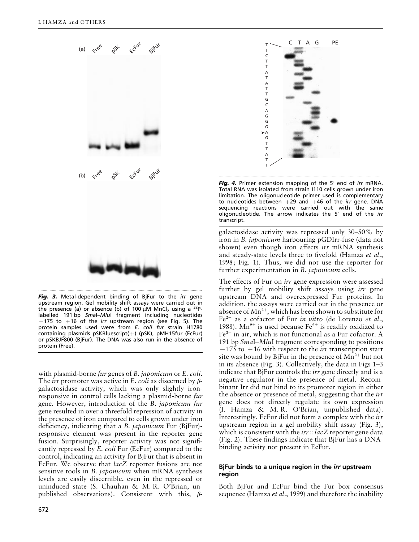

*Fig. 3.* Metal-dependent binding of BjFur to the *irr* gene upstream region. Gel mobility shift assays were carried out in the presence (a) or absence (b) of 100  $\mu$ M MnCl<sub>2</sub> using a <sup>32</sup>Plabelled 191 bp *Sma*I–*Mlu*I fragment including nucleotides  $-175$  to  $+16$  of the *irr* upstream region (see Fig. 5). The protein samples used were from *E. coli fur* strain H1780 containing plasmids pSKBluescript( $+)$  (pSK), pMH15fur (EcFur) or pSKBJF800 (BjFur). The DNA was also run in the absence of protein (Free).

with plasmid-borne *fur* genes of *B*. *japonicum* or *E*. *coli*. The *irr* promoter was active in *E*. *coli* as discerned by βgalactosidase activity, which was only slightly ironresponsive in control cells lacking a plasmid-borne *fur* gene. However, introduction of the *B*. *japonicum fur* gene resulted in over a threefold repression of activity in the presence of iron compared to cells grown under iron deficiency, indicating that a *B*. *japonicum* Fur (BjFur) responsive element was present in the reporter gene fusion. Surprisingly, reporter activity was not significantly repressed by *E*. *coli* Fur (EcFur) compared to the control, indicating an activity for BjFur that is absent in EcFur. We observe that *lacZ* reporter fusions are not sensitive tools in *B*. *japonicum* when mRNA synthesis levels are easily discernible, even in the repressed or uninduced state (S. Chauhan & M. R. O'Brian, unpublished observations). Consistent with this, β-



**Fig. 4.** Primer extension mapping of the 5' end of *irr* mRNA. Total RNA was isolated from strain I110 cells grown under iron limitation. The oligonucleotide primer used is complementary to nucleotides between  $+29$  and  $+46$  of the *irr* gene. DNA sequencing reactions were carried out with the same oligonucleotide. The arrow indicates the 5« end of the *irr* transcript.

galactosidase activity was repressed only 30–50% by iron in *B*. *japonicum* harbouring pGDIrr-fuse (data not shown) even though iron affects *irr* mRNA synthesis and steady-state levels three to fivefold (Hamza *et al*., 1998; Fig. 1). Thus, we did not use the reporter for further experimentation in *B*. *japonicum* cells.

The effects of Fur on *irr* gene expression were assessed further by gel mobility shift assays using *irr* gene upstream DNA and overexpressed Fur proteins. In addition, the assays were carried out in the presence or absence of  $Mn^{2+}$ , which has been shown to substitute for Fe<sup>2+</sup> as a cofactor of Fur *in vitro* (de Lorenzo *et al.*, 1988). Mn<sup>2+</sup> is used because Fe<sup>2+</sup> is readily oxidized to  $Fe<sup>3+</sup>$  in air, which is not functional as a Fur cofactor. A 191 bp *Sma*I–*Mlu*I fragment corresponding to positions  $-175$  to  $+16$  with respect to the *irr* transcription start site was bound by BjFur in the presence of  $Mn^{2+}$  but not in its absence (Fig. 3). Collectively, the data in Figs 1–3 indicate that BjFur controls the *irr* gene directly and is a negative regulator in the presence of metal. Recombinant Irr did not bind to its promoter region in either the absence or presence of metal, suggesting that the *irr* gene does not directly regulate its own expression (I. Hamza & M. R. O'Brian, unpublished data). Interestingly, EcFur did not form a complex with the *irr* upstream region in a gel mobility shift assay (Fig. 3), which is consistent with the *irr*::*lacZ* reporter gene data (Fig. 2). These findings indicate that BjFur has a DNAbinding activity not present in EcFur.

# **BjFur binds to a unique region in the** *irr* **upstream region**

Both BjFur and EcFur bind the Fur box consensus sequence (Hamza *et al*., 1999) and therefore the inability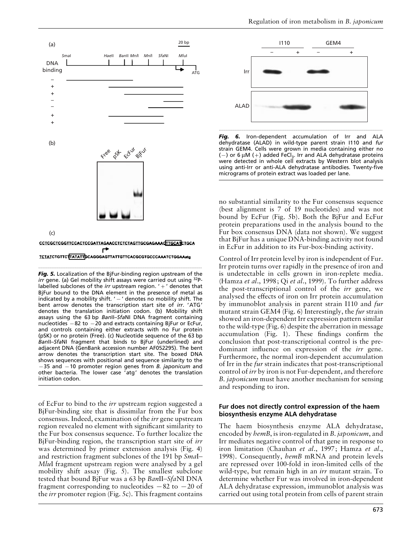

TCTATCTGTTCTTATATTGCAGGGAGTTATTGTTCACGCGTGCCCAAATCTGGAAatg

.................................................................................................................................................

*Fig. 5.* Localization of the BjFur-binding region upstream of the *irr* gene. (a) Gel mobility shift assays were carried out using <sup>32</sup>Plabelled subclones of the *irr* upstream region. ' + ' denotes that BjFur bound to the DNA element in the presence of metal as indicated by a mobility shift.  $' -'$  denotes no mobility shift. The bent arrow denotes the transcription start site of *irr*. 'ATG' denotes the translation initiation codon. (b) Mobility shift assays using the 63 bp *Ban*II–*Sfa*NI DNA fragment containing nucleotides  $-82$  to  $-20$  and extracts containing BjFur or EcFur, and controls containing either extracts with no Fur protein (pSK) or no protein (Free). (c) Nucleotide sequence of the 63 bp *Ban*II–*Sfa*NI fragment that binds to BjFur (underlined) and adjacent DNA (GenBank accession number AF052295). The bent arrow denotes the transcription start site. The boxed DNA shows sequences with positional and sequence similarity to the  $-35$  and  $-10$  promoter region genes from *B. japonicum* and other bacteria. The lower case 'atg' denotes the translation initiation codon.

of EcFur to bind to the *irr* upstream region suggested a BjFur-binding site that is dissimilar from the Fur box consensus. Indeed, examination of the *irr* gene upstream region revealed no element with significant similarity to the Fur box consensus sequence. To further localize the BjFur-binding region, the transcription start site of *irr* was determined by primer extension analysis (Fig. 4) and restriction fragment subclones of the 191 bp *Sma*I– *Mlu*I fragment upstream region were analysed by a gel mobility shift assay (Fig. 5). The smallest subclone tested that bound BjFur was a 63 bp *Ban*II–*Sfa*NI DNA fragment corresponding to nucleotides  $-82$  to  $-20$  of the *irr* promoter region (Fig. 5c). This fragment contains



*Fig. 6.* Iron-dependent accumulation of Irr and ALA dehydratase (ALAD) in wild-type parent strain I110 and *fur* strain GEM4. Cells were grown in media containing either no (-) or 6  $\mu$ M (+) added FeCl<sub>3</sub>. Irr and ALA dehydratase proteins were detected in whole cell extracts by Western blot analysis using anti-Irr or anti-ALA dehydratase antibodies. Twenty-five micrograms of protein extract was loaded per lane.

no substantial similarity to the Fur consensus sequence (best alignment is 7 of 19 nucleotides) and was not bound by EcFur (Fig. 5b). Both the BjFur and EcFur protein preparations used in the analysis bound to the Fur box consensus DNA (data not shown). We suggest that BjFur has a unique DNA-binding activity not found in EcFur in addition to its Fur-box-binding activity.

Control of Irr protein level by iron is independent of Fur. Irr protein turns over rapidly in the presence of iron and is undetectable in cells grown in iron-replete media. (Hamza *et al*., 1998; Qi *et al*., 1999). To further address the post-transcriptional control of the *irr* gene, we analysed the effects of iron on Irr protein accumulation by immunoblot analysis in parent strain I110 and *fur* mutant strain GEM4 (Fig. 6) Interestingly, the *fur* strain showed an iron-dependent Irr expression pattern similar to the wild-type (Fig. 6) despite the aberration in message accumulation (Fig. 1). These findings confirm the conclusion that post-transcriptional control is the predominant influence on expression of the *irr* gene. Furthermore, the normal iron-dependent accumulation of Irr in the *fur* strain indicates that post-transcriptional control of *irr* by iron is not Fur-dependent, and therefore *B*. *japonicum* must have another mechanism for sensing and responding to iron.

### **Fur does not directly control expression of the haem biosynthesis enzyme ALA dehydratase**

The haem biosynthesis enzyme ALA dehydratase, encoded by *hemB*, is iron-regulated in *B*. *japonicum*, and Irr mediates negative control of that gene in response to iron limitation (Chauhan *et al*., 1997; Hamza *et al*., 1998). Consequently, *hemB* mRNA and protein levels are repressed over 100-fold in iron-limited cells of the wild-type, but remain high in an *irr* mutant strain. To determine whether Fur was involved in iron-dependent ALA dehydratase expression, immunoblot analysis was carried out using total protein from cells of parent strain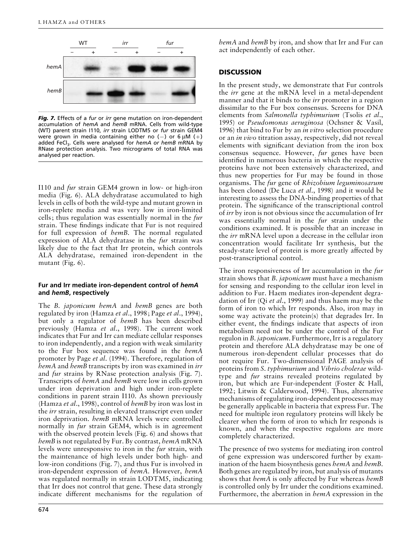

*Fig. 7.* Effects of a *fur* or *irr* gene mutation on iron-dependent accumulation of *hemA* and *hemB* mRNA. Cells from wild-type (WT) parent strain I110, *irr* strain LODTM5 or *fur* strain GEM4 were grown in media containing either no (-) or 6  $\mu$ M (+) added FeCl<sub>3</sub>. Cells were analysed for *hemA or hemB* mRNA by RNase protection analysis. Two micrograms of total RNA was analysed per reaction.

I110 and *fur* strain GEM4 grown in low- or high-iron media (Fig. 6). ALA dehydratase accumulated to high levels in cells of both the wild-type and mutant grown in iron-replete media and was very low in iron-limited cells; thus regulation was essentially normal in the *fur* strain. These findings indicate that Fur is not required for full expression of *hemB*. The normal regulated expression of ALA dehydratase in the *fur* strain was likely due to the fact that Irr protein, which controls ALA dehydratase, remained iron-dependent in the mutant (Fig. 6).

### **Fur and Irr mediate iron-dependent control of** *hemA* **and** *hemB***, respectively**

The *B*. *japonicum hemA* and *hemB* genes are both regulated by iron (Hamza *et al*., 1998; Page *et al*., 1994), but only a regulator of *hemB* has been described previously (Hamza *et al*., 1998). The current work indicates that Fur and Irr can mediate cellular responses to iron independently, and a region with weak similarity to the Fur box sequence was found in the *hemA* promoter by Page *et al*. (1994). Therefore, regulation of *hemA* and *hemB* transcripts by iron was examined in *irr* and *fur* strains by RNase protection analysis (Fig. 7). Transcripts of *hemA* and *hemB* were low in cells grown under iron deprivation and high under iron-replete conditions in parent strain I110. As shown previously (Hamza *et al*., 1998), control of *hemB* by iron was lost in the *irr* strain, resulting in elevated transcript even under iron deprivation. *hemB* mRNA levels were controlled normally in *fur* strain GEM4, which is in agreement with the observed protein levels (Fig. 6) and shows that *hemB* is not regulated by Fur. By contrast, *hemA* mRNA levels were unresponsive to iron in the *fur* strain, with the maintenance of high levels under both high- and low-iron conditions (Fig. 7), and thus Fur is involved in iron-dependent expression of *hemA*. However, *hemA* was regulated normally in strain LODTM5, indicating that Irr does not control that gene. These data strongly indicate different mechanisms for the regulation of *hemA* and *hemB* by iron, and show that Irr and Fur can act independently of each other.

# **DISCUSSION**

In the present study, we demonstrate that Fur controls the *irr* gene at the mRNA level in a metal-dependent manner and that it binds to the *irr* promoter in a region dissimilar to the Fur box consensus. Screens for DNA elements from *Salmonella typhimurium* (Tsolis *et al*., 1995) or *Pseudomonas aeruginosa* (Ochsner & Vasil, 1996) that bind to Fur by an *in vitro* selection procedure or an *in vivo* titration assay, respectively, did not reveal elements with significant deviation from the iron box consensus sequence. However, *fur* genes have been identified in numerous bacteria in which the respective proteins have not been extensively characterized, and thus new properties for Fur may be found in those organisms. The *fur* gene of *Rhizobium leguminosarum* has been cloned (De Luca *et al*., 1998) and it would be interesting to assess the DNA-binding properties of that protein. The significance of the transcriptional control of *irr* by iron is not obvious since the accumulation of Irr was essentially normal in the *fur* strain under the conditions examined. It is possible that an increase in the *irr* mRNA level upon a decrease in the cellular iron concentration would facilitate Irr synthesis, but the steady-state level of protein is more greatly affected by post-transcriptional control.

The iron responsiveness of Irr accumulation in the *fur* strain shows that *B*. *japonicum* must have a mechanism for sensing and responding to the cellular iron level in addition to Fur. Haem mediates iron-dependent degradation of Irr (Qi *et al*., 1999) and thus haem may be the form of iron to which Irr responds. Also, iron may in some way activate the protein(s) that degrades Irr. In either event, the findings indicate that aspects of iron metabolism need not be under the control of the Fur regulon in *B*. *japonicum*. Furthermore, Irr is a regulatory protein and therefore ALA dehydratase may be one of numerous iron-dependent cellular processes that do not require Fur. Two-dimensional PAGE analysis of proteins from *S*. *typhimurium* and *Vibrio cholerae* wildtype and *fur* strains revealed proteins regulated by iron, but which are Fur-independent (Foster & Hall, 1992; Litwin & Calderwood, 1994). Thus, alternative mechanisms of regulating iron-dependent processes may be generally applicable in bacteria that express Fur. The need for multiple iron regulatory proteins will likely be clearer when the form of iron to which Irr responds is known, and when the respective regulons are more completely characterized.

The presence of two systems for mediating iron control of gene expression was underscored further by examination of the haem biosynthesis genes *hemA* and *hemB*. Both genes are regulated by iron, but analysis of mutants shows that *hemA* is only affected by Fur whereas *hemB* is controlled only by Irr under the conditions examined. Furthermore, the aberration in *hemA* expression in the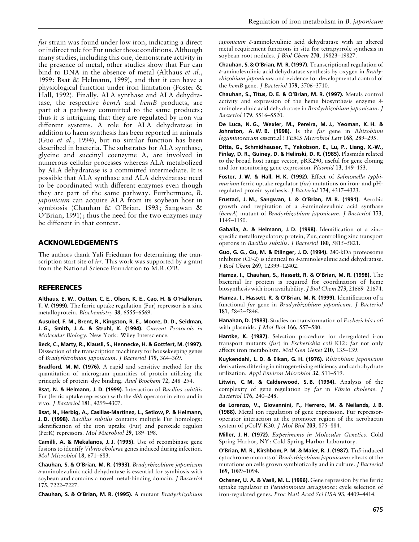*fur* strain was found under low iron, indicating a direct or indirect role for Fur under those conditions. Although many studies, including this one, demonstrate activity in the presence of metal, other studies show that Fur can bind to DNA in the absence of metal (Althaus *et al*., 1999; Bsat & Helmann, 1999), and that it can have a physiological function under iron limitation (Foster & Hall, 1992). Finally, ALA synthase and ALA dehydratase, the respective *hemA* and *hemB* products, are part of a pathway committed to the same products; thus it is intriguing that they are regulated by iron via different systems. A role for ALA dehydratase in addition to haem synthesis has been reported in animals (Guo *et al*., 1994), but no similar function has been described in bacteria. The substrates for ALA synthase, glycine and succinyl coenzyme A, are involved in numerous cellular processes whereas ALA metabolized by ALA dehydratase is a committed intermediate. It is possible that ALA synthase and ALA dehydratase need to be coordinated with different enzymes even though they are part of the same pathway. Furthermore, *B*. *japonicum* can acquire ALA from its soybean host in symbiosis (Chauhan & O'Brian, 1993; Sangwan & O'Brian, 1991); thus the need for the two enzymes may be different in that context.

### **ACKNOWLEDGEMENTS**

The authors thank Yali Friedman for determining the transcription start site of *irr*. This work was supported by a grant from the National Science Foundation to M.R.O'B.

#### **REFERENCES**

**Althaus, E. W., Outten, C. E., Olson, K. E., Cao, H. & O'Halloran, T. V. (1999).** The ferric uptake regulation (Fur) repressor is a zinc metalloprotein. *Biochemistry* **38**, 6555–6569.

**Ausubel, F. M., Brent, R., Kingston, R. E., Moore, D. D., Seidman, J. G., Smith, J. A. & Struhl, K. (1994).** *Current Protocols in Molecular Biology*. New York: Wiley Interscience.

**Beck, C., Marty, R., Klausli, S., Hennecke, H. & Gottfert, M. (1997).** Dissection of the transcription machinery for housekeeping genes of *Bradyrhizobium japonicum*. *J Bacteriol* **179**, 364–369.

**Bradford, M. M. (1976).** A rapid and sensitive method for the quantitation of microgram quantities of protein utilizing the principle of protein–dye binding. *Anal Biochem* **72**, 248–254.

**Bsat, N. & Helmann, J. D. (1999).** Interaction of *Bacillus subtilis* Fur (ferric uptake repressor) with the *dhb* operator in vitro and in vivo. *J Bacteriol* **181**, 4299–4307.

**Bsat, N., Herbig, A., Casillas-Martinez, L., Setlow, P. & Helmann, J. D. (1998).** *Bacillus subtilis* contains multiple Fur homologs: identification of the iron uptake (Fur) and peroxide regulon (PerR) repressors. *Mol Microbiol* **29**, 189–198.

**Camilli, A. & Mekalanos, J. J. (1995).** Use of recombinase gene fusions to identify *Vibrio cholerae* genes induced during infection. *Mol Microbiol* **18**, 671–683.

**Chauhan, S. & O'Brian, M. R. (1993).** *Bradyrhizobium japonicum* δ-aminolevulinic acid dehydratase is essential for symbiosis with soybean and contains a novel metal-binding domain. *J Bacteriol* **175**, 7222–7227.

**Chauhan, S. & O'Brian, M. R. (1995).** A mutant *Bradyrhizobium*

*japonicum* δ-aminolevulinic acid dehydratase with an altered metal requirement functions in situ for tetrapyrrole synthesis in soybean root nodules. *J Biol Chem* **270**, 19823–19827.

**Chauhan, S. & O'Brian, M. R. (1997).** Transcriptional regulation of δ-aminolevulinic acid dehydratase synthesis by oxygen in *Bradyrhizobium japonicum* and evidence for developmental control of the *hemB* gene. *J Bacteriol* **179**, 3706–3710.

**Chauhan, S., Titus, D. E. & O'Brian, M. R. (1997).** Metals control activity and expression of the heme biosynthesis enzyme  $\delta$ aminolevulinic acid dehydratase in *Bradyrhizobium japonicum*. *J Bacteriol* **179**, 5516–5520.

**De Luca, N. G., Wexler, M., Pereira, M. J., Yeoman, K. H. & Johnston, A. W. B. (1998).** Is the *fur* gene in *Rhizobium leguminosarum* essential ? *FEMS Microbiol Lett* **168**, 289–295.

**Ditta, G., Schmidhauser, T., Yakobson, E., Lu, P., Liang, X.-W., Finlay, D. R., Guiney, D. & Helinski, D. R. (1985).** Plasmids related to the broad host range vector, pRK290, useful for gene cloning and for monitoring gene expression. *Plasmid* **13**, 149–153.

**Foster, J. W. & Hall, H. K. (1992).** Effect of *Salmonella typhimurium* ferric uptake regulator (*fur*) mutations on iron- and pHregulated protein synthesis. *J Bacteriol* **174**, 4317–4323.

**Frustaci, J. M., Sangwan, I. & O'Brian, M. R. (1991).** Aerobic growth and respiration of a  $\delta$ -aminolevulinic acid synthase (*hemA*) mutant of *Bradyrhizobium japonicum*. *J Bacteriol* **173**, 1145–1150.

**Gaballa, A. & Helmann, J. D. (1998).** Identification of a zincspecific metalloregulatory protein, Zur, controlling zinc transport operons in *Bacillus subtilis*. *J Bacteriol* **180**, 5815–5821.

**Guo, G. G., Gu, M. & Etlinger, J. D. (1994).** 240-kDa proteosome inhibitor (CF-2) is identical to  $\delta$ -aminolevulinic acid dehydratase. *J Biol Chem* **269**, 12399–12402.

**Hamza, I., Chauhan, S., Hassett, R. & O'Brian, M. R. (1998).** The bacterial Irr protein is required for coordination of heme biosynthesis with iron availability. *J Biol Chem* **273**, 21669–21674.

**Hamza, I., Hassett, R. & O'Brian, M. R. (1999).** Identification of a functional *fur* gene in *Bradyrhizobium japonicum*. *J Bacteriol* **181**, 5843–5846.

**Hanahan, D. (1983).** Studies on transformation of *Escherichia coli* with plasmids. *J Mol Biol* **166**, 557–580.

**Hantke, K. (1987).** Selection procedure for deregulated iron transport mutants (*fur*) in *Escherichia coli* K12: *fur* not only affects iron metabolism. *Mol Gen Genet* **210**, 135–139.

**Kuykendahl, L. D. & Elkan, G. H. (1976).** *Rhizobium japonicum* derivatives differing in nitrogen-fixing efficiency and carbohydrate utilization. *Appl Environ Microbiol* **32**, 511–519.

**Litwin, C. M. & Calderwood, S. B. (1994).** Analysis of the complexity of gene regulation by *fur* in *Vibrio cholerae*. *J Bacteriol* **176**, 240–248.

**de Lorenzo, V., Giovannini, F., Herrero, M. & Neilands, J. B. (1988).** Metal ion regulation of gene expression. Fur repressoroperator interaction at the promoter region of the aerobactin system of pColV-K30. *J Mol Biol* **203**, 875–884.

**Miller, J. H. (1972).** *Experiments in Molecular Genetics*. Cold Spring Harbor, NY: Cold Spring Harbor Laboratory.

**O'Brian, M. R., Kirshbom, P. M. & Maier, R. J. (1987).** Tn5-induced cytochrome mutants of *Bradyrhizobium japonicum*: effects of the mutations on cells grown symbiotically and in culture. *J Bacteriol* **169**, 1089–1094.

**Ochsner, U. A. & Vasil, M. L. (1996).** Gene repression by the ferric uptake regulator in *Pseudomonas aeruginosa*: cycle selection of iron-regulated genes. *Proc Natl Acad Sci USA* **93**, 4409–4414.